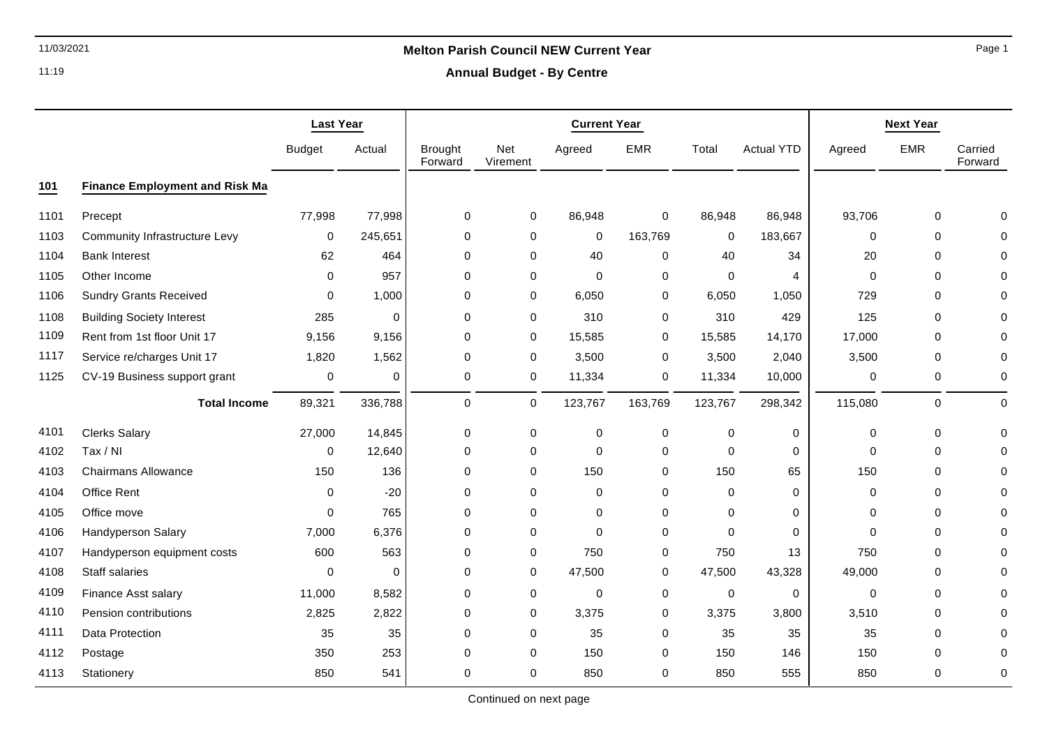# 11/03/2021 **Melton Parish Council NEW Current Year**

**Annual Budget - By Centre**

|      |                                       | <b>Last Year</b> |             | <b>Current Year</b>       |                 |             | <b>Next Year</b> |             |                   |             |                |                    |
|------|---------------------------------------|------------------|-------------|---------------------------|-----------------|-------------|------------------|-------------|-------------------|-------------|----------------|--------------------|
|      |                                       | <b>Budget</b>    | Actual      | <b>Brought</b><br>Forward | Net<br>Virement | Agreed      | <b>EMR</b>       | Total       | <b>Actual YTD</b> | Agreed      | <b>EMR</b>     | Carried<br>Forward |
| 101  | <b>Finance Employment and Risk Ma</b> |                  |             |                           |                 |             |                  |             |                   |             |                |                    |
| 1101 | Precept                               | 77,998           | 77,998      | 0                         | $\mathbf 0$     | 86,948      | $\mathbf 0$      | 86,948      | 86,948            | 93,706      | $\mathbf 0$    | $\Omega$           |
| 1103 | <b>Community Infrastructure Levy</b>  | $\mathbf 0$      | 245,651     | 0                         | 0               | $\mathbf 0$ | 163,769          | 0           | 183,667           | $\mathbf 0$ | $\mathbf 0$    |                    |
| 1104 | <b>Bank Interest</b>                  | 62               | 464         | 0                         | $\mathbf 0$     | 40          | $\pmb{0}$        | 40          | 34                | 20          | 0              | $\Omega$           |
| 1105 | Other Income                          | 0                | 957         | 0                         | $\mathbf 0$     | $\Omega$    | 0                | $\Omega$    | 4                 | $\Omega$    | $\mathbf 0$    | $\Omega$           |
| 1106 | <b>Sundry Grants Received</b>         | 0                | 1,000       | 0                         | 0               | 6,050       | 0                | 6,050       | 1,050             | 729         | $\mathbf 0$    | 0                  |
| 1108 | <b>Building Society Interest</b>      | 285              | $\mathbf 0$ | 0                         | $\mathbf 0$     | 310         | $\mathbf 0$      | 310         | 429               | 125         | $\mathbf 0$    | $\Omega$           |
| 1109 | Rent from 1st floor Unit 17           | 9,156            | 9,156       | 0                         | $\mathbf 0$     | 15,585      | 0                | 15,585      | 14,170            | 17,000      | 0              | $\Omega$           |
| 1117 | Service re/charges Unit 17            | 1,820            | 1,562       | 0                         | 0               | 3,500       | 0                | 3,500       | 2,040             | 3,500       | $\mathbf 0$    | 0                  |
| 1125 | CV-19 Business support grant          | 0                | $\mathbf 0$ | 0                         | 0               | 11,334      | 0                | 11,334      | 10,000            | 0           | 0              | 0                  |
|      | <b>Total Income</b>                   | 89,321           | 336,788     | 0                         | 0               | 123,767     | 163,769          | 123,767     | 298,342           | 115,080     | $\overline{0}$ | 0                  |
| 4101 | <b>Clerks Salary</b>                  | 27,000           | 14,845      | 0                         | 0               | $\mathbf 0$ | $\pmb{0}$        | $\pmb{0}$   | $\pmb{0}$         | 0           | 0              | $\Omega$           |
| 4102 | Tax / NI                              | 0                | 12,640      | 0                         | 0               | $\mathbf 0$ | $\mathbf 0$      | $\mathbf 0$ | $\mathbf 0$       | $\Omega$    | $\Omega$       |                    |
| 4103 | <b>Chairmans Allowance</b>            | 150              | 136         | 0                         | $\mathbf 0$     | 150         | $\mathbf 0$      | 150         | 65                | 150         | $\mathbf 0$    |                    |
| 4104 | Office Rent                           | 0                | $-20$       | 0                         | $\mathbf 0$     | 0           | $\mathbf 0$      | $\mathbf 0$ | 0                 | 0           | $\mathbf 0$    | $\Omega$           |
| 4105 | Office move                           | $\Omega$         | 765         | 0                         | $\mathbf 0$     | $\mathbf 0$ | $\mathbf 0$      | $\mathbf 0$ | $\mathbf 0$       | 0           | $\mathbf 0$    | $\Omega$           |
| 4106 | Handyperson Salary                    | 7,000            | 6,376       | 0                         | 0               | $\Omega$    | 0                | $\Omega$    | $\mathbf 0$       | $\Omega$    | 0              | $\Omega$           |
| 4107 | Handyperson equipment costs           | 600              | 563         | $\Omega$                  | $\mathbf 0$     | 750         | 0                | 750         | 13                | 750         | $\mathbf 0$    | $\Omega$           |
| 4108 | Staff salaries                        | 0                | 0           | 0                         | 0               | 47,500      | $\pmb{0}$        | 47,500      | 43,328            | 49,000      | 0              | $\Omega$           |
| 4109 | Finance Asst salary                   | 11,000           | 8,582       | 0                         | $\mathbf 0$     | $\mathbf 0$ | $\mathbf 0$      | $\mathbf 0$ | $\mathbf 0$       | $\mathbf 0$ | $\mathbf 0$    | $\Omega$           |
| 4110 | Pension contributions                 | 2,825            | 2,822       | 0                         | 0               | 3,375       | 0                | 3,375       | 3,800             | 3,510       | $\mathbf 0$    | $\Omega$           |
| 4111 | Data Protection                       | 35               | 35          | 0                         | $\mathbf 0$     | 35          | $\mathbf 0$      | 35          | 35                | 35          | 0              | $\Omega$           |
| 4112 | Postage                               | 350              | 253         | 0                         | 0               | 150         | 0                | 150         | 146               | 150         | 0              | 0                  |
| 4113 | Stationery                            | 850              | 541         | 0                         | $\mathbf 0$     | 850         | $\mathbf 0$      | 850         | 555               | 850         | $\mathbf 0$    | 0                  |

Page 1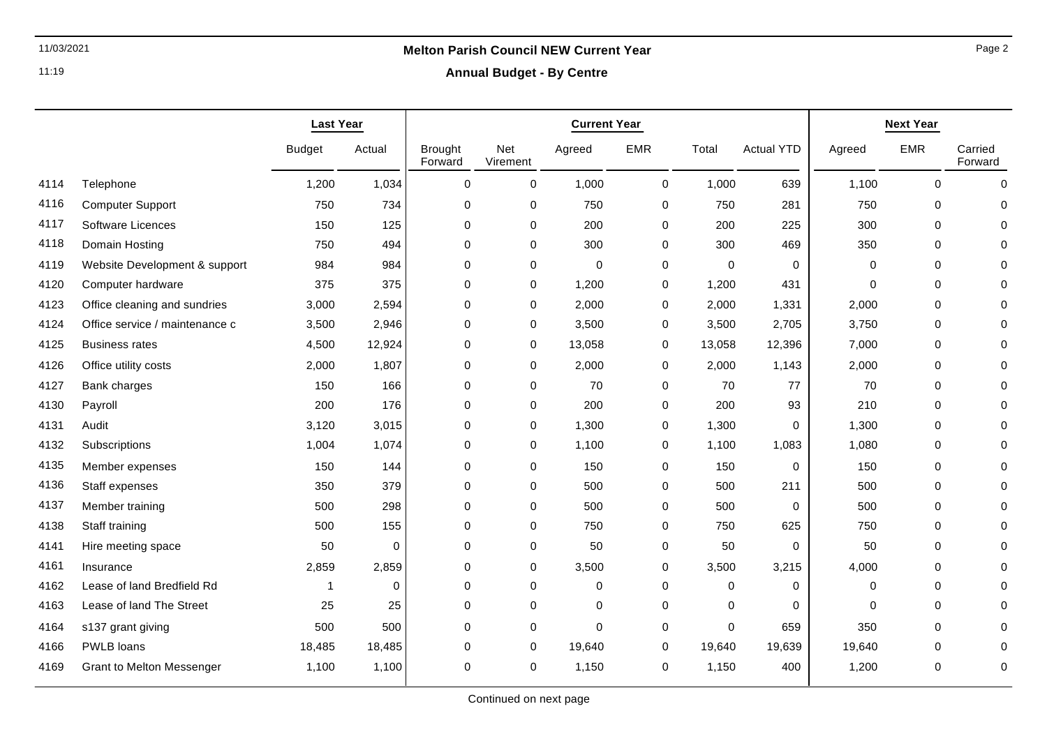**Annual Budget - By Centre**

|      |                                | <b>Last Year</b> |             | <b>Current Year</b>       |                 |             | <b>Next Year</b> |             |                   |          |             |                    |
|------|--------------------------------|------------------|-------------|---------------------------|-----------------|-------------|------------------|-------------|-------------------|----------|-------------|--------------------|
|      |                                | <b>Budget</b>    | Actual      | <b>Brought</b><br>Forward | Net<br>Virement | Agreed      | <b>EMR</b>       | Total       | <b>Actual YTD</b> | Agreed   | <b>EMR</b>  | Carried<br>Forward |
| 4114 | Telephone                      | 1,200            | 1,034       | 0                         | 0               | 1,000       | 0                | 1,000       | 639               | 1,100    | $\mathbf 0$ | 0                  |
| 4116 | <b>Computer Support</b>        | 750              | 734         | 0                         | $\pmb{0}$       | 750         | $\pmb{0}$        | 750         | 281               | 750      | 0           | $\Omega$           |
| 4117 | Software Licences              | 150              | 125         | 0                         | $\pmb{0}$       | 200         | $\mathbf 0$      | 200         | 225               | 300      | 0           | $\Omega$           |
| 4118 | Domain Hosting                 | 750              | 494         | 0                         | 0               | 300         | 0                | 300         | 469               | 350      | $\mathbf 0$ | 0                  |
| 4119 | Website Development & support  | 984              | 984         | 0                         | $\mathbf 0$     | $\mathbf 0$ | 0                | $\mathbf 0$ | $\mathbf 0$       | 0        | $\mathbf 0$ | $\Omega$           |
| 4120 | Computer hardware              | 375              | 375         | 0                         | $\mathbf 0$     | 1,200       | 0                | 1,200       | 431               | 0        | $\mathbf 0$ | $\Omega$           |
| 4123 | Office cleaning and sundries   | 3,000            | 2,594       | 0                         | 0               | 2,000       | 0                | 2,000       | 1,331             | 2,000    | $\mathbf 0$ | $\Omega$           |
| 4124 | Office service / maintenance c | 3,500            | 2,946       | 0                         | 0               | 3,500       | 0                | 3,500       | 2,705             | 3,750    | 0           | $\Omega$           |
| 4125 | <b>Business rates</b>          | 4,500            | 12,924      | 0                         | 0               | 13,058      | 0                | 13,058      | 12,396            | 7,000    | 0           | $\Omega$           |
| 4126 | Office utility costs           | 2,000            | 1,807       | 0                         | $\pmb{0}$       | 2,000       | $\mathbf 0$      | 2,000       | 1,143             | 2,000    | 0           | 0                  |
| 4127 | Bank charges                   | 150              | 166         | 0                         | $\pmb{0}$       | 70          | $\mathbf 0$      | 70          | 77                | 70       | $\pmb{0}$   | $\Omega$           |
| 4130 | Payroll                        | 200              | 176         | 0                         | $\pmb{0}$       | 200         | 0                | 200         | 93                | 210      | 0           | $\Omega$           |
| 4131 | Audit                          | 3,120            | 3,015       | 0                         | $\mathbf 0$     | 1,300       | $\mathbf 0$      | 1,300       | $\Omega$          | 1,300    | $\Omega$    | $\Omega$           |
| 4132 | Subscriptions                  | 1,004            | 1,074       | 0                         | 0               | 1,100       | $\mathbf 0$      | 1,100       | 1,083             | 1,080    | $\mathbf 0$ | $\Omega$           |
| 4135 | Member expenses                | 150              | 144         | 0                         | 0               | 150         | 0                | 150         | $\mathbf 0$       | 150      | $\mathbf 0$ | $\Omega$           |
| 4136 | Staff expenses                 | 350              | 379         | 0                         | 0               | 500         | 0                | 500         | 211               | 500      | $\mathbf 0$ | $\Omega$           |
| 4137 | Member training                | 500              | 298         | 0                         | 0               | 500         | 0                | 500         | 0                 | 500      | 0           | $\Omega$           |
| 4138 | Staff training                 | 500              | 155         | 0                         | $\pmb{0}$       | 750         | 0                | 750         | 625               | 750      | $\pmb{0}$   | $\Omega$           |
| 4141 | Hire meeting space             | 50               | $\mathbf 0$ | 0                         | $\pmb{0}$       | 50          | $\pmb{0}$        | 50          | $\mathbf 0$       | 50       | 0           | $\Omega$           |
| 4161 | Insurance                      | 2,859            | 2,859       | 0                         | $\pmb{0}$       | 3,500       | $\mathbf 0$      | 3,500       | 3,215             | 4,000    | 0           | $\Omega$           |
| 4162 | Lease of land Bredfield Rd     | 1                | $\Omega$    | $\Omega$                  | 0               | 0           | 0                | 0           | $\mathbf 0$       | 0        | $\Omega$    | $\Omega$           |
| 4163 | Lease of land The Street       | 25               | 25          | 0                         | $\pmb{0}$       | $\mathbf 0$ | $\mathbf 0$      | $\mathbf 0$ | $\mathbf 0$       | $\Omega$ | $\mathbf 0$ | $\Omega$           |
| 4164 | s137 grant giving              | 500              | 500         | 0                         | $\mathbf 0$     | $\Omega$    | 0                | $\Omega$    | 659               | 350      | $\mathbf 0$ | $\Omega$           |
| 4166 | PWLB loans                     | 18,485           | 18,485      | 0                         | 0               | 19,640      | 0                | 19,640      | 19,639            | 19,640   | 0           | 0                  |
| 4169 | Grant to Melton Messenger      | 1,100            | 1,100       | 0                         | 0               | 1,150       | 0                | 1,150       | 400               | 1,200    | $\mathbf 0$ | 0                  |

Page 2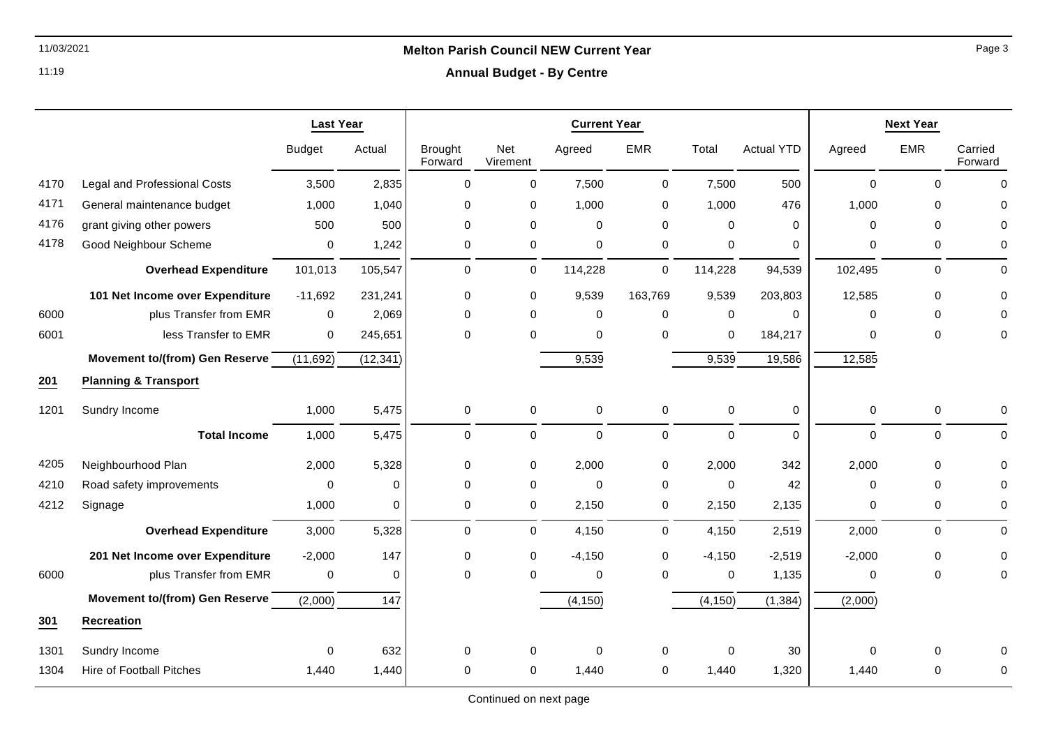### **Annual Budget - By Centre**

|      |                                     | <b>Last Year</b> |             | <b>Current Year</b>       |                        |             |             |             | <b>Next Year</b>  |             |             |                    |
|------|-------------------------------------|------------------|-------------|---------------------------|------------------------|-------------|-------------|-------------|-------------------|-------------|-------------|--------------------|
|      |                                     | <b>Budget</b>    | Actual      | <b>Brought</b><br>Forward | <b>Net</b><br>Virement | Agreed      | <b>EMR</b>  | Total       | <b>Actual YTD</b> | Agreed      | <b>EMR</b>  | Carried<br>Forward |
| 4170 | <b>Legal and Professional Costs</b> | 3,500            | 2,835       | $\mathbf 0$               | $\mathbf 0$            | 7,500       | 0           | 7,500       | 500               | $\mathbf 0$ | $\Omega$    | $\Omega$           |
| 4171 | General maintenance budget          | 1,000            | 1,040       | $\mathbf 0$               | 0                      | 1,000       | 0           | 1,000       | 476               | 1,000       | $\Omega$    |                    |
| 4176 | grant giving other powers           | 500              | 500         | $\mathbf 0$               | $\mathsf 0$            | $\mathbf 0$ | $\pmb{0}$   | $\mathbf 0$ | 0                 | 0           | $\Omega$    |                    |
| 4178 | Good Neighbour Scheme               | 0                | 1,242       | $\mathbf 0$               | $\mathbf 0$            | $\mathbf 0$ | $\pmb{0}$   | $\mathbf 0$ | 0                 | 0           | 0           | $\Omega$           |
|      | <b>Overhead Expenditure</b>         | 101,013          | 105,547     | $\mathbf 0$               | 0                      | 114,228     | 0           | 114,228     | 94,539            | 102,495     | $\mathbf 0$ | $\Omega$           |
|      | 101 Net Income over Expenditure     | $-11,692$        | 231,241     | 0                         | 0                      | 9,539       | 163,769     | 9,539       | 203,803           | 12,585      | $\Omega$    |                    |
| 6000 | plus Transfer from EMR              | $\mathbf 0$      | 2,069       | 0                         | $\Omega$               | 0           | $\mathbf 0$ | $\mathbf 0$ | $\Omega$          | $\Omega$    | $\Omega$    | U                  |
| 6001 | less Transfer to EMR                | 0                | 245,651     | $\Omega$                  | $\Omega$               | $\Omega$    | $\Omega$    | $\Omega$    | 184,217           | $\Omega$    | $\Omega$    | O                  |
|      | Movement to/(from) Gen Reserve      | (11,692)         | (12, 341)   |                           |                        | 9,539       |             | 9,539       | 19,586            | 12,585      |             |                    |
| 201  | <b>Planning &amp; Transport</b>     |                  |             |                           |                        |             |             |             |                   |             |             |                    |
| 1201 | Sundry Income                       | 1,000            | 5,475       | $\mathbf 0$               | $\mathbf 0$            | $\mathbf 0$ | $\pmb{0}$   | $\pmb{0}$   | $\mathbf 0$       | $\mathbf 0$ | $\pmb{0}$   | ∩                  |
|      | <b>Total Income</b>                 | 1,000            | 5,475       | 0                         | 0                      | $\mathbf 0$ | 0           | $\mathbf 0$ | $\Omega$          | 0           | $\mathbf 0$ | $\Omega$           |
| 4205 | Neighbourhood Plan                  | 2,000            | 5,328       | $\mathbf 0$               | $\mathbf 0$            | 2,000       | 0           | 2,000       | 342               | 2,000       | $\Omega$    |                    |
| 4210 | Road safety improvements            | 0                | $\mathbf 0$ | $\mathbf 0$               | 0                      | $\mathbf 0$ | 0           | $\mathbf 0$ | 42                | 0           | $\mathbf 0$ |                    |
| 4212 | Signage                             | 1,000            | $\mathbf 0$ | 0                         | 0                      | 2,150       | $\mathbf 0$ | 2,150       | 2,135             | 0           | 0           | 0                  |
|      | <b>Overhead Expenditure</b>         | 3,000            | 5,328       | $\Omega$                  | $\mathbf 0$            | 4,150       | 0           | 4,150       | 2,519             | 2,000       | $\Omega$    | $\Omega$           |
|      | 201 Net Income over Expenditure     | $-2,000$         | 147         | 0                         | 0                      | $-4,150$    | 0           | $-4,150$    | $-2,519$          | $-2,000$    | $\mathbf 0$ | $\Omega$           |
| 6000 | plus Transfer from EMR              | $\mathbf 0$      | $\Omega$    | $\Omega$                  | $\Omega$               | 0           | $\mathbf 0$ | $\mathbf 0$ | 1,135             | 0           | $\Omega$    | 0                  |
|      | Movement to/(from) Gen Reserve      | (2,000)          | 147         |                           |                        | (4, 150)    |             | (4, 150)    | (1, 384)          | (2,000)     |             |                    |
| 301  | <b>Recreation</b>                   |                  |             |                           |                        |             |             |             |                   |             |             |                    |
| 1301 | Sundry Income                       | $\Omega$         | 632         | $\Omega$                  | 0                      | 0           | 0           | $\Omega$    | 30                | 0           | 0           |                    |
| 1304 | <b>Hire of Football Pitches</b>     | 1,440            | 1,440       | $\Omega$                  | $\Omega$               | 1,440       | 0           | 1,440       | 1,320             | 1,440       | $\Omega$    |                    |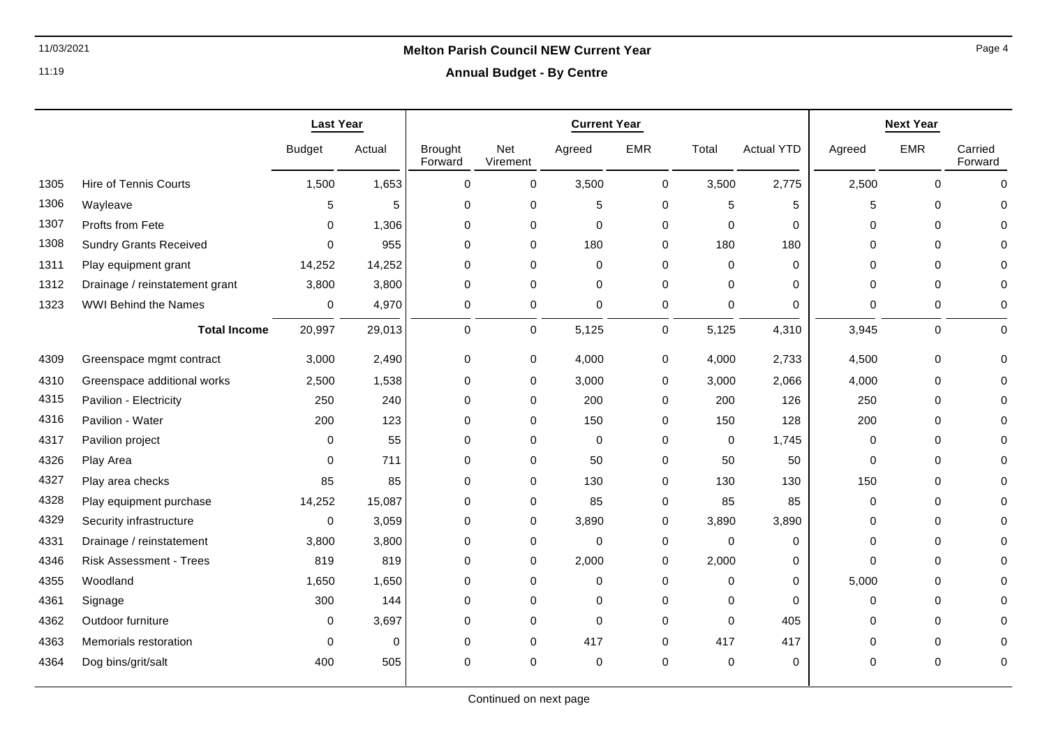**Annual Budget - By Centre**

|      |                                | <b>Last Year</b> |             | <b>Current Year</b>       |                     |                  |             | <b>Next Year</b> |                   |             |             |                    |
|------|--------------------------------|------------------|-------------|---------------------------|---------------------|------------------|-------------|------------------|-------------------|-------------|-------------|--------------------|
|      |                                | <b>Budget</b>    | Actual      | <b>Brought</b><br>Forward | Net<br>Virement     | Agreed           | <b>EMR</b>  | Total            | <b>Actual YTD</b> | Agreed      | <b>EMR</b>  | Carried<br>Forward |
| 1305 | <b>Hire of Tennis Courts</b>   | 1,500            | 1,653       | $\pmb{0}$                 | 0                   | 3,500            | $\mathbf 0$ | 3,500            | 2,775             | 2,500       | $\Omega$    | $\Omega$           |
| 1306 | Wayleave                       | 5                | 5           | 0                         | 0                   | 5                | 0           | 5                | 5                 | 5           | $\mathbf 0$ | 0                  |
| 1307 | Profts from Fete               | 0                | 1,306       | 0                         | 0                   | $\boldsymbol{0}$ | 0           | 0                | 0                 | 0           | 0           |                    |
| 1308 | <b>Sundry Grants Received</b>  | 0                | 955         | $\mathbf 0$               | 0                   | 180              | 0           | 180              | 180               | $\Omega$    | $\mathbf 0$ |                    |
| 1311 | Play equipment grant           | 14,252           | 14,252      | 0                         | 0                   | $\mathbf 0$      | 0           | $\mathbf 0$      | $\mathbf 0$       | $\Omega$    | $\mathbf 0$ |                    |
| 1312 | Drainage / reinstatement grant | 3,800            | 3,800       | 0                         | 0                   | $\mathbf 0$      | 0           | 0                | $\Omega$          | $\mathbf 0$ | 0           |                    |
| 1323 | <b>WWI Behind the Names</b>    | 0                | 4,970       | 0                         | 0                   | $\mathbf 0$      | $\pmb{0}$   | 0                | $\mathbf 0$       | 0           | 0           | 0                  |
|      | <b>Total Income</b>            | 20,997           | 29,013      | 0                         | $\mathsf{O}\xspace$ | 5,125            | $\mathbf 0$ | 5,125            | 4,310             | 3,945       | 0           | $\mathbf 0$        |
| 4309 | Greenspace mgmt contract       | 3,000            | 2,490       | $\mathbf 0$               | 0                   | 4,000            | 0           | 4,000            | 2,733             | 4,500       | 0           | $\Omega$           |
| 4310 | Greenspace additional works    | 2,500            | 1,538       | $\mathbf 0$               | 0                   | 3,000            | $\mathbf 0$ | 3,000            | 2,066             | 4,000       | $\mathbf 0$ |                    |
| 4315 | Pavilion - Electricity         | 250              | 240         | 0                         | 0                   | 200              | 0           | 200              | 126               | 250         | $\mathbf 0$ | O                  |
| 4316 | Pavilion - Water               | 200              | 123         | $\mathbf 0$               | 0                   | 150              | $\mathbf 0$ | 150              | 128               | 200         | $\Omega$    |                    |
| 4317 | Pavilion project               | 0                | 55          | $\mathbf 0$               | 0                   | $\mathbf 0$      | $\Omega$    | $\mathbf 0$      | 1,745             | 0           | $\mathbf 0$ |                    |
| 4326 | Play Area                      | $\Omega$         | 711         | $\Omega$                  | 0                   | 50               | $\mathbf 0$ | 50               | 50                | $\Omega$    | $\Omega$    |                    |
| 4327 | Play area checks               | 85               | 85          | 0                         | 0                   | 130              | 0           | 130              | 130               | 150         | $\mathbf 0$ | ∩                  |
| 4328 | Play equipment purchase        | 14,252           | 15,087      | 0                         | 0                   | 85               | 0           | 85               | 85                | 0           | 0           |                    |
| 4329 | Security infrastructure        | $\mathbf 0$      | 3,059       | 0                         | 0                   | 3,890            | 0           | 3,890            | 3,890             | $\Omega$    | $\mathbf 0$ |                    |
| 4331 | Drainage / reinstatement       | 3,800            | 3,800       | $\mathbf 0$               | 0                   | $\boldsymbol{0}$ | 0           | 0                | 0                 | $\Omega$    | $\mathbf 0$ |                    |
| 4346 | <b>Risk Assessment - Trees</b> | 819              | 819         | $\pmb{0}$                 | 0                   | 2,000            | 0           | 2,000            | 0                 | $\mathbf 0$ | 0           |                    |
| 4355 | Woodland                       | 1,650            | 1,650       | $\mathbf 0$               | 0                   | $\mathbf 0$      | $\Omega$    | $\mathbf 0$      | 0                 | 5,000       | $\mathbf 0$ |                    |
| 4361 | Signage                        | 300              | 144         | 0                         | 0                   | $\mathbf 0$      | $\mathbf 0$ | $\mathbf 0$      | $\mathbf 0$       | 0           | $\mathbf 0$ |                    |
| 4362 | Outdoor furniture              | 0                | 3,697       | $\mathbf 0$               | 0                   | $\mathbf 0$      | 0           | $\mathbf 0$      | 405               | 0           | $\mathbf 0$ |                    |
| 4363 | Memorials restoration          | $\Omega$         | $\mathbf 0$ | 0                         | 0                   | 417              | 0           | 417              | 417               | $\Omega$    | $\mathbf 0$ | 0                  |
| 4364 | Dog bins/grit/salt             | 400              | 505         | $\mathbf 0$               | 0                   | $\mathbf 0$      | $\mathbf 0$ | $\mathbf 0$      | 0                 | $\Omega$    | $\Omega$    | $\Omega$           |